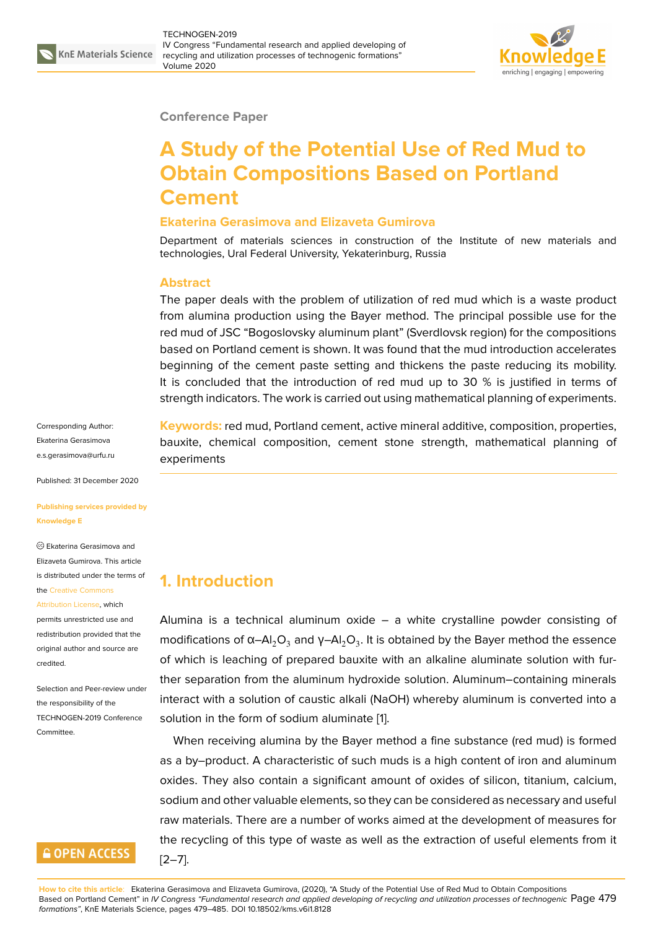

#### **Conference Paper**

# **A Study of the Potential Use of Red Mud to Obtain Compositions Based on Portland Cement**

#### **Ekaterina Gerasimova and Elizaveta Gumirova**

Department of materials sciences in construction of the Institute of new materials and technologies, Ural Federal University, Yekaterinburg, Russia

#### **Abstract**

The paper deals with the problem of utilization of red mud which is a waste product from alumina production using the Bayer method. The principal possible use for the red mud of JSC "Bogoslovsky aluminum plant" (Sverdlovsk region) for the compositions based on Portland cement is shown. It was found that the mud introduction accelerates beginning of the cement paste setting and thickens the paste reducing its mobility. It is concluded that the introduction of red mud up to 30 % is justified in terms of strength indicators. The work is carried out using mathematical planning of experiments.

Corresponding Author: Ekaterina Gerasimova e.s.gerasimova@urfu.ru

Published: 31 December 2020

**[Publishing services pro](mailto:e.s.gerasimova@urfu.ru)vided by Knowledge E**

Ekaterina Gerasimova and Elizaveta Gumirova. This article is distributed under the terms of the Creative Commons

Attribution License, which permits unrestricted use and redistribution provided that the

orig[inal author and sou](https://creativecommons.org/licenses/by/4.0/)rce are [credited.](https://creativecommons.org/licenses/by/4.0/)

Selection and Peer-review under the responsibility of the TECHNOGEN-2019 Conference Committee.

### **GOPEN ACCESS**

**Keywords:** red mud, Portland cement, active mineral additive, composition, properties, bauxite, chemical composition, cement stone strength, mathematical planning of experiments

## **1. Introduction**

Alumina is a technical aluminum oxide – a white crystalline powder consisting of modifications of α–Al $_2$ O $_3$  and γ–Al $_2$ O $_3$ . It is obtained by the Bayer method the essence of which is leaching of prepared bauxite with an alkaline aluminate solution with further separation from the aluminum hydroxide solution. Aluminum–containing minerals interact with a solution of caustic alkali (NaOH) whereby aluminum is converted into a solution in the form of sodium aluminate [1].

When receiving alumina by the Bayer method a fine substance (red mud) is formed as a by–product. A characteristic of such muds is a high content of iron and aluminum oxides. They also contain a significant a[m](#page-5-0)ount of oxides of silicon, titanium, calcium, sodium and other valuable elements, so they can be considered as necessary and useful raw materials. There are a number of works aimed at the development of measures for the recycling of this type of waste as well as the extraction of useful elements from it  $[2-7]$ .

**How to cite this article**: Ekaterina Gerasimova and Elizaveta Gumirova, (2020), "A Study of the Potential Use of Red Mud to Obtain Compositions Based on Portland Cement" in *IV Congress "Fundamental research and applied developing of recycling and utilization processes of technogenic* Page 479 *formations"*, KnE Materials Scienc[e, p](#page-5-1)[age](#page-5-2)s 479–485. DOI 10.18502/kms.v6i1.8128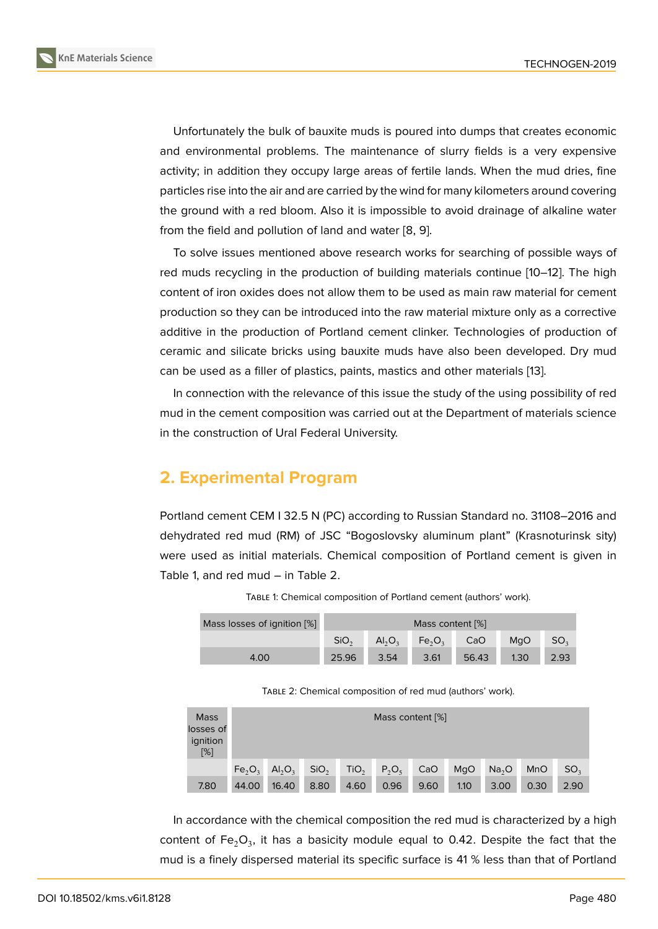Unfortunately the bulk of bauxite muds is poured into dumps that creates economic and environmental problems. The maintenance of slurry fields is a very expensive activity; in addition they occupy large areas of fertile lands. When the mud dries, fine particles rise into the air and are carried by the wind for many kilometers around covering the ground with a red bloom. Also it is impossible to avoid drainage of alkaline water from the field and pollution of land and water [8, 9].

To solve issues mentioned above research works for searching of possible ways of red muds recycling in the production of building materials continue [10–12]. The high content of iron oxides does not allow them to [be](#page-5-3) [us](#page-5-4)ed as main raw material for cement production so they can be introduced into the raw material mixture only as a corrective additive in the production of Portland cement clinker. Technologies [of](#page-5-5) [pro](#page-6-0)duction of ceramic and silicate bricks using bauxite muds have also been developed. Dry mud can be used as a filler of plastics, paints, mastics and other materials [13].

In connection with the relevance of this issue the study of the using possibility of red mud in the cement composition was carried out at the Department of materials science in the construction of Ural Federal University.

### **2. Experimental Program**

Portland cement CEM I 32.5 N (PC) according to Russian Standard no. 31108–2016 and dehydrated red mud (RM) of JSC "Bogoslovsky aluminum plant" (Krasnoturinsk sity) were used as initial materials. Chemical composition of Portland cement is given in Table 1, and red mud – in Table 2.

| Mass losses of ignition [%] | Mass content [%] |                                |                                |       |      |      |  |
|-----------------------------|------------------|--------------------------------|--------------------------------|-------|------|------|--|
|                             | SiO <sub>2</sub> | AI <sub>2</sub> O <sub>2</sub> | Fe <sub>2</sub> O <sub>2</sub> | CaO   | MaO  | SO,  |  |
| 4.00                        | 25.96            | 3.54                           | 3.61                           | 56.43 | 1.30 | 2.93 |  |

TABLE 1: Chemical composition of Portland cement (authors' work).

TABLE 2: Chemical composition of red mud (authors' work).

| <b>Mass</b><br>losses of<br>ignition<br>$[\%]$ | Mass content [%]               |           |                  |                  |          |      |      |                   |            |                 |
|------------------------------------------------|--------------------------------|-----------|------------------|------------------|----------|------|------|-------------------|------------|-----------------|
|                                                | Fe <sub>2</sub> O <sub>2</sub> | $Al_2O_3$ | SiO <sub>2</sub> | TiO <sub>2</sub> | $P_2O_5$ | CaO  | MgO  | Na <sub>2</sub> O | <b>MnO</b> | SO <sub>2</sub> |
| 7.80                                           | 44.00                          | 16.40     | 8.80             | 4.60             | 0.96     | 9.60 | 1.10 | 3.00              | 0.30       | 2.90            |

In accordance with the chemical composition the red mud is characterized by a high content of Fe $_{2}$ O $_{3}$ , it has a basicity module equal to 0.42. Despite the fact that the mud is a finely dispersed material its specific surface is 41 % less than that of Portland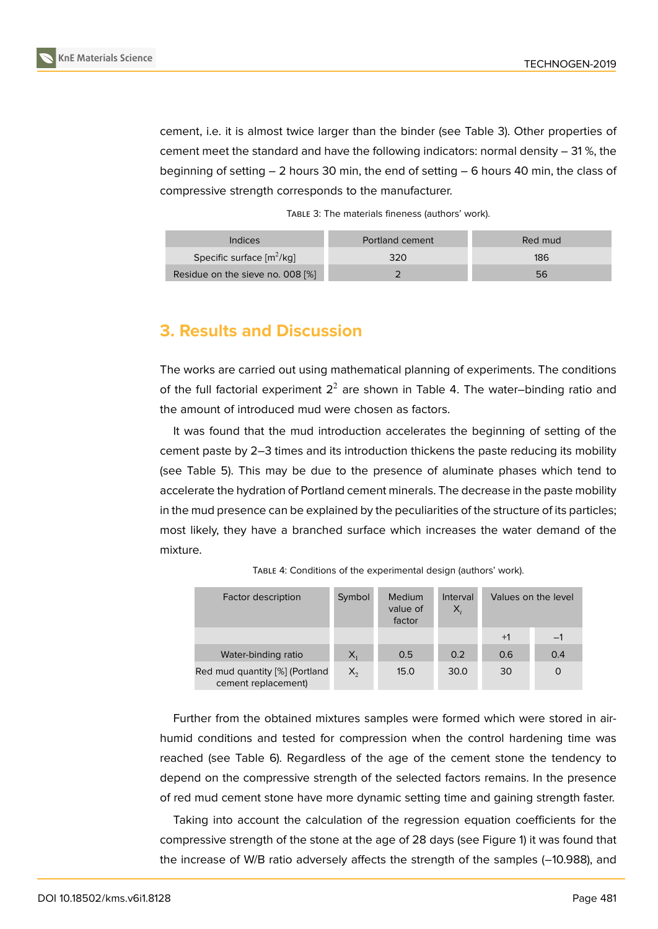cement, i.e. it is almost twice larger than the binder (see Table 3). Other properties of cement meet the standard and have the following indicators: normal density – 31 %, the beginning of setting – 2 hours 30 min, the end of setting – 6 hours 40 min, the class of compressive strength corresponds to the manufacturer.

TABLE 3: The materials fineness (authors' work).

| Indices                          | Portland cement | Red mud |
|----------------------------------|-----------------|---------|
| Specific surface $[m^2/kg]$      | 320             | 186     |
| Residue on the sieve no. 008 [%] |                 | 56      |

### **3. Results and Discussion**

The works are carried out using mathematical planning of experiments. The conditions of the full factorial experiment  $2^2$  are shown in Table 4. The water–binding ratio and the amount of introduced mud were chosen as factors.

It was found that the mud introduction accelerates the beginning of setting of the cement paste by 2–3 times and its introduction thickens the paste reducing its mobility (see Table 5). This may be due to the presence of aluminate phases which tend to accelerate the hydration of Portland cement minerals. The decrease in the paste mobility in the mud presence can be explained by the peculiarities of the structure of its particles; most likely, they have a branched surface which increases the water demand of the mixture.

| Factor description                                    | Medium<br>Symbol<br>value of<br>factor |      | Interval<br>Х, |      | Values on the level |
|-------------------------------------------------------|----------------------------------------|------|----------------|------|---------------------|
|                                                       |                                        |      |                | $+1$ | $-1$                |
| Water-binding ratio                                   | $X_{1}$                                | 0.5  | 0.2            | 0.6  | 0.4                 |
| Red mud quantity [%] (Portland<br>cement replacement) | $\mathsf{X}_2$                         | 15.0 | 30.0           | 30   | 0                   |

TABLE 4: Conditions of the experimental design (authors' work).

Further from the obtained mixtures samples were formed which were stored in airhumid conditions and tested for compression when the control hardening time was reached (see Table 6). Regardless of the age of the cement stone the tendency to depend on the compressive strength of the selected factors remains. In the presence of red mud cement stone have more dynamic setting time and gaining strength faster.

Taking into account the calculation of the regression equation coefficients for the compressive strength of the stone at the age of 28 days (see Figure 1) it was found that the increase of W/B ratio adversely affects the strength of the samples (–10.988), and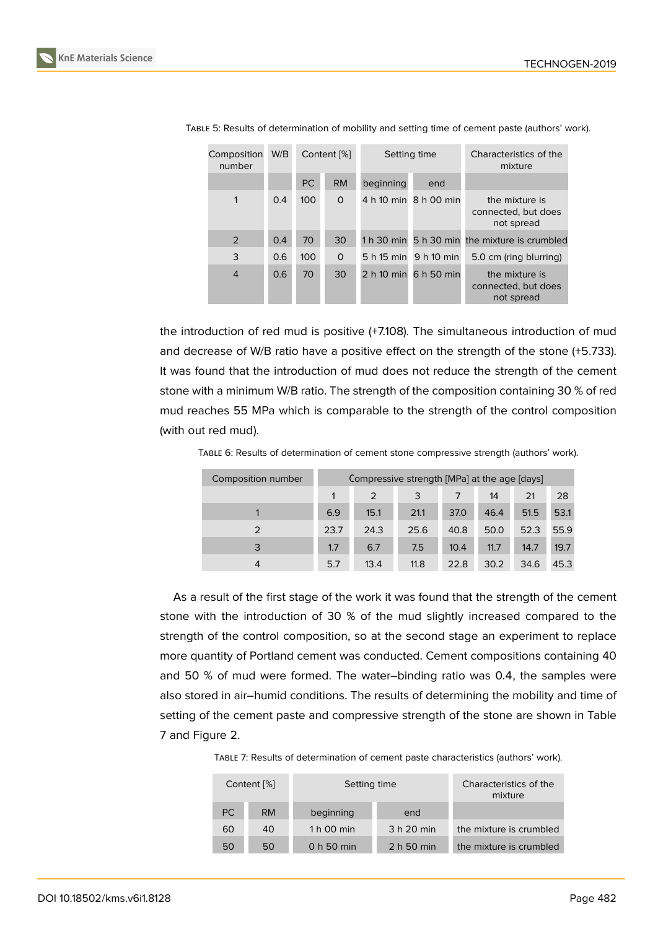| Composition<br>number | W/B | Content [%]<br>Setting time |              | Characteristics of the<br>mixture |                       |                                                     |
|-----------------------|-----|-----------------------------|--------------|-----------------------------------|-----------------------|-----------------------------------------------------|
|                       |     | PC                          | <b>RM</b>    | beginning                         | end                   |                                                     |
| 1                     | 0.4 | 100                         | $\mathbf{0}$ |                                   | 4 h 10 min 8 h 00 min | the mixture is<br>connected, but does<br>not spread |
| 2                     | 0.4 | 70                          | 30           |                                   |                       | 1 h 30 min 5 h 30 min the mixture is crumbled       |
| 3                     | 0.6 | 100                         | $\mathsf{O}$ |                                   | 5 h 15 min 9 h 10 min | 5.0 cm (ring blurring)                              |
| $\overline{4}$        | 0.6 | 70                          | 30           |                                   | 2 h 10 min 6 h 50 min | the mixture is<br>connected, but does<br>not spread |

TABLE 5: Results of determination of mobility and setting time of cement paste (authors' work).

the introduction of red mud is positive (+7.108). The simultaneous introduction of mud and decrease of W/B ratio have a positive effect on the strength of the stone (+5.733). It was found that the introduction of mud does not reduce the strength of the cement stone with a minimum W/B ratio. The strength of the composition containing 30 % of red mud reaches 55 MPa which is comparable to the strength of the control composition (with out red mud).

| Composition number | Compressive strength [MPa] at the age [days] |      |      |      |      |      |      |
|--------------------|----------------------------------------------|------|------|------|------|------|------|
|                    | 1                                            | 2    | 3    |      | 14   | 21   | 28   |
|                    | 6.9                                          | 15.1 | 21.1 | 37.0 | 46.4 | 51.5 | 53.1 |
| $\mathcal{P}$      | 23.7                                         | 24.3 | 25.6 | 40.8 | 50.0 | 52.3 | 55.9 |
| 3                  | 1.7                                          | 6.7  | 7.5  | 10.4 | 11.7 | 14.7 | 19.7 |
| 4                  | 5.7                                          | 13.4 | 11.8 | 22.8 | 30.2 | 34.6 | 45.3 |

TABLE 6: Results of determination of cement stone compressive strength (authors' work).

As a result of the first stage of the work it was found that the strength of the cement stone with the introduction of 30 % of the mud slightly increased compared to the strength of the control composition, so at the second stage an experiment to replace more quantity of Portland cement was conducted. Cement compositions containing 40 and 50 % of mud were formed. The water–binding ratio was 0.4, the samples were also stored in air–humid conditions. The results of determining the mobility and time of setting of the cement paste and compressive strength of the stone are shown in Table 7 and Figure 2.

TABLE 7: Results of determination of cement paste characteristics (authors' work).

|     | Content [%] | Setting time | Characteristics of the<br>mixture |                         |
|-----|-------------|--------------|-----------------------------------|-------------------------|
| PC. | <b>RM</b>   | beginning    | end                               |                         |
| 60  | 40          | 1 h 00 min   | 3 h 20 min                        | the mixture is crumbled |
| 50  | 50          | 0 h 50 min   | 2 h 50 min                        | the mixture is crumbled |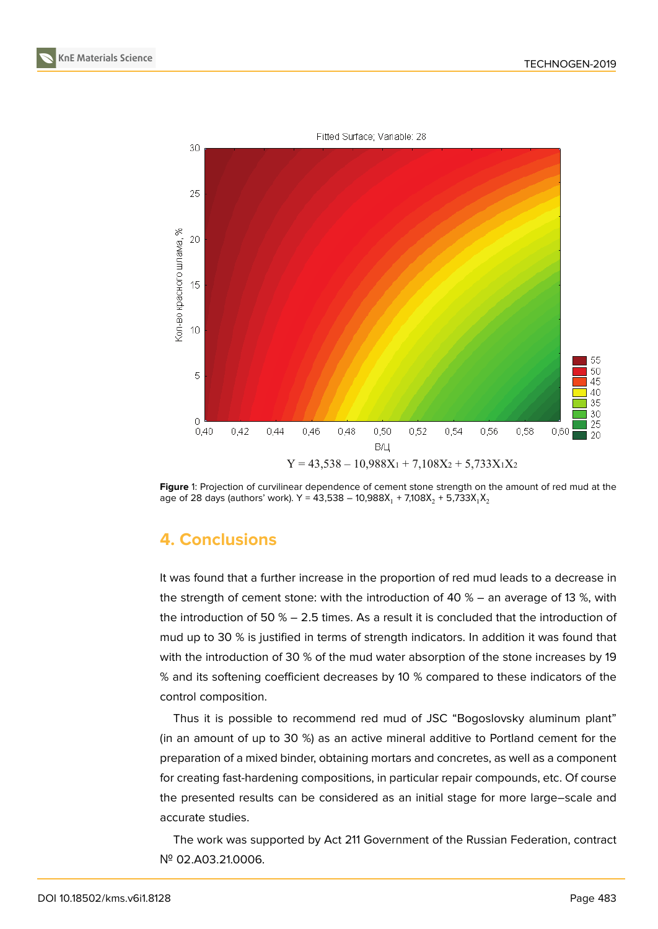



**Figure** 1: Projection of curvilinear dependence of cement stone strength on the amount of red mud at the age of 28 days (authors' work). Y = 43,538 – 10,988X $_1$  + 7,108X $_2$  + 5,733X $_1$ X $_2$ 

# **4. Conclusions**

It was found that a further increase in the proportion of red mud leads to a decrease in the strength of cement stone: with the introduction of 40 % – an average of 13 %, with the introduction of 50 % – 2.5 times. As a result it is concluded that the introduction of mud up to 30 % is justified in terms of strength indicators. In addition it was found that with the introduction of 30 % of the mud water absorption of the stone increases by 19 % and its softening coefficient decreases by 10 % compared to these indicators of the control composition.

Thus it is possible to recommend red mud of JSC "Bogoslovsky aluminum plant" (in an amount of up to 30 %) as an active mineral additive to Portland cement for the preparation of a mixed binder, obtaining mortars and concretes, as well as a component for creating fast-hardening compositions, in particular repair compounds, etc. Of course the presented results can be considered as an initial stage for more large–scale and accurate studies.

The work was supported by Act 211 Government of the Russian Federation, contract № 02.A03.21.0006.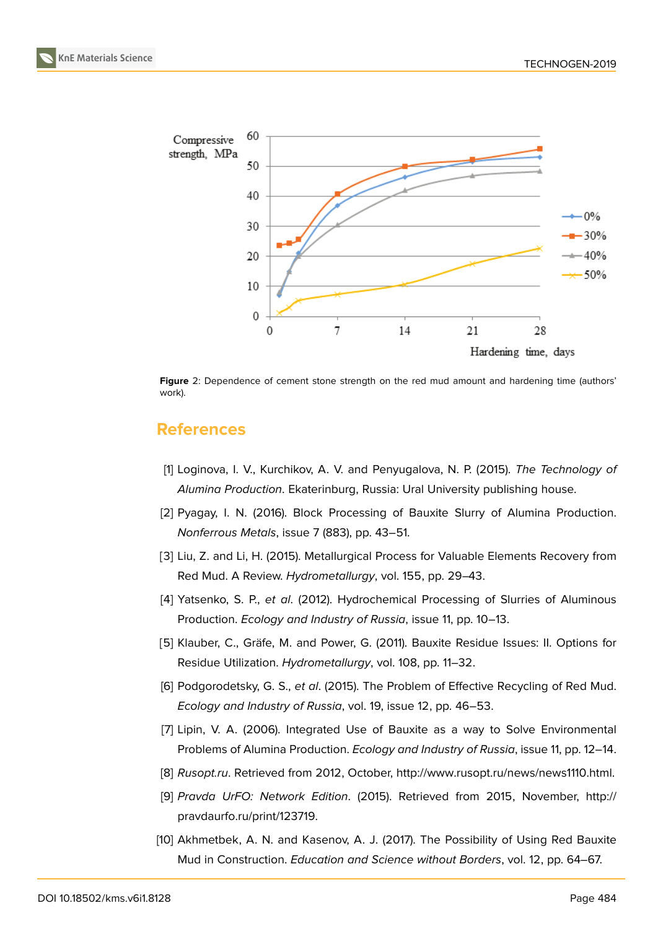

**Figure** 2: Dependence of cement stone strength on the red mud amount and hardening time (authors' work).

#### <span id="page-5-6"></span>**References**

- [1] Loginova, I. V., Kurchikov, A. V. and Penyugalova, N. P. (2015). *The Technology of Alumina Production*. Ekaterinburg, Russia: Ural University publishing house.
- <span id="page-5-0"></span>[2] Pyagay, I. N. (2016). Block Processing of Bauxite Slurry of Alumina Production. *Nonferrous Metals*, issue 7 (883), pp. 43–51.
- <span id="page-5-1"></span>[3] Liu, Z. and Li, H. (2015). Metallurgical Process for Valuable Elements Recovery from Red Mud. A Review. *Hydrometallurgy*, vol. 155, pp. 29–43.
- [4] Yatsenko, S. P., *et al*. (2012). Hydrochemical Processing of Slurries of Aluminous Production. *Ecology and Industry of Russia*, issue 11, pp. 10–13.
- [5] Klauber, C., Gräfe, M. and Power, G. (2011). Bauxite Residue Issues: II. Options for Residue Utilization. *Hydrometallurgy*, vol. 108, pp. 11–32.
- [6] Podgorodetsky, G. S., *et al*. (2015). The Problem of Effective Recycling of Red Mud. *Ecology and Industry of Russia*, vol. 19, issue 12, pp. 46–53.
- [7] Lipin, V. A. (2006). Integrated Use of Bauxite as a way to Solve Environmental Problems of Alumina Production. *Ecology and Industry of Russia*, issue 11, pp. 12–14.
- <span id="page-5-2"></span>[8] *Rusopt.ru*. Retrieved from 2012, October, http://www.rusopt.ru/news/news1110.html.
- <span id="page-5-3"></span>[9] *Pravda UrFO: Network Edition*. (2015). Retrieved from 2015, November, http:// pravdaurfo.ru/print/123719.
- <span id="page-5-5"></span><span id="page-5-4"></span>[10] Akhmetbek, A. N. and Kasenov, A. J. (2[017\). The Possibility of Using Red Bauxite](http://www.rusopt.ru/news/news1110.html.) [Mud in Construction.](http://pravdaurfo.ru/print/123719) *Education and Science without Borders*, vol. 12, pp. 64[–67.](http://pravdaurfo.ru/print/123719)